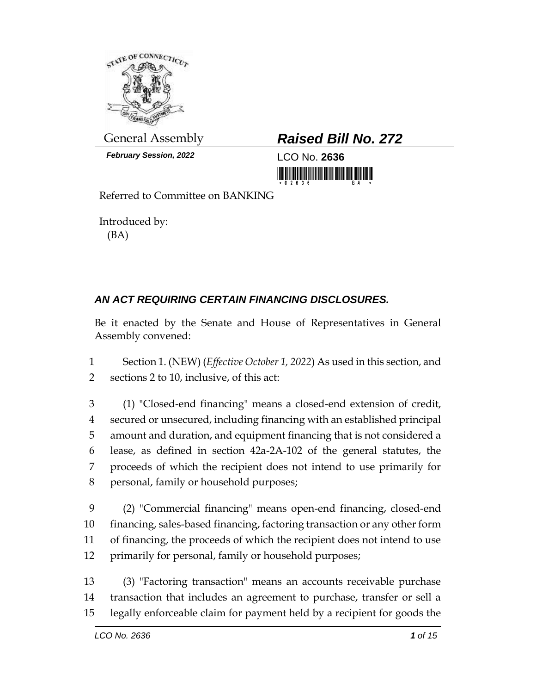

*February Session, 2022* LCO No. **2636**

## General Assembly *Raised Bill No. 272*

<u> III Milli Milli Milli Milli Milli Milli Milli Milli Milli Milli Milli Milli Milli Milli Milli Milli Milli Mil</u>

Referred to Committee on BANKING

Introduced by: (BA)

## *AN ACT REQUIRING CERTAIN FINANCING DISCLOSURES.*

Be it enacted by the Senate and House of Representatives in General Assembly convened:

1 Section 1. (NEW) (*Effective October 1, 2022*) As used in this section, and 2 sections 2 to 10, inclusive, of this act:

 (1) "Closed-end financing" means a closed-end extension of credit, secured or unsecured, including financing with an established principal amount and duration, and equipment financing that is not considered a lease, as defined in section 42a-2A-102 of the general statutes, the proceeds of which the recipient does not intend to use primarily for personal, family or household purposes;

 (2) "Commercial financing" means open-end financing, closed-end financing, sales-based financing, factoring transaction or any other form of financing, the proceeds of which the recipient does not intend to use primarily for personal, family or household purposes;

13 (3) "Factoring transaction" means an accounts receivable purchase 14 transaction that includes an agreement to purchase, transfer or sell a 15 legally enforceable claim for payment held by a recipient for goods the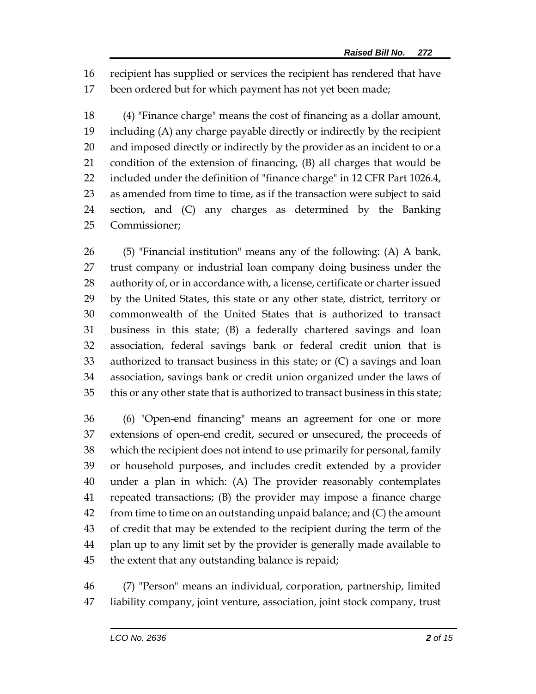recipient has supplied or services the recipient has rendered that have been ordered but for which payment has not yet been made;

 (4) "Finance charge" means the cost of financing as a dollar amount, including (A) any charge payable directly or indirectly by the recipient and imposed directly or indirectly by the provider as an incident to or a condition of the extension of financing, (B) all charges that would be included under the definition of "finance charge" in 12 CFR Part 1026.4, as amended from time to time, as if the transaction were subject to said section, and (C) any charges as determined by the Banking Commissioner;

 (5) "Financial institution" means any of the following: (A) A bank, trust company or industrial loan company doing business under the authority of, or in accordance with, a license, certificate or charter issued by the United States, this state or any other state, district, territory or commonwealth of the United States that is authorized to transact business in this state; (B) a federally chartered savings and loan association, federal savings bank or federal credit union that is authorized to transact business in this state; or (C) a savings and loan association, savings bank or credit union organized under the laws of this or any other state that is authorized to transact business in this state;

 (6) "Open-end financing" means an agreement for one or more extensions of open-end credit, secured or unsecured, the proceeds of which the recipient does not intend to use primarily for personal, family or household purposes, and includes credit extended by a provider under a plan in which: (A) The provider reasonably contemplates repeated transactions; (B) the provider may impose a finance charge from time to time on an outstanding unpaid balance; and (C) the amount of credit that may be extended to the recipient during the term of the plan up to any limit set by the provider is generally made available to the extent that any outstanding balance is repaid;

 (7) "Person" means an individual, corporation, partnership, limited liability company, joint venture, association, joint stock company, trust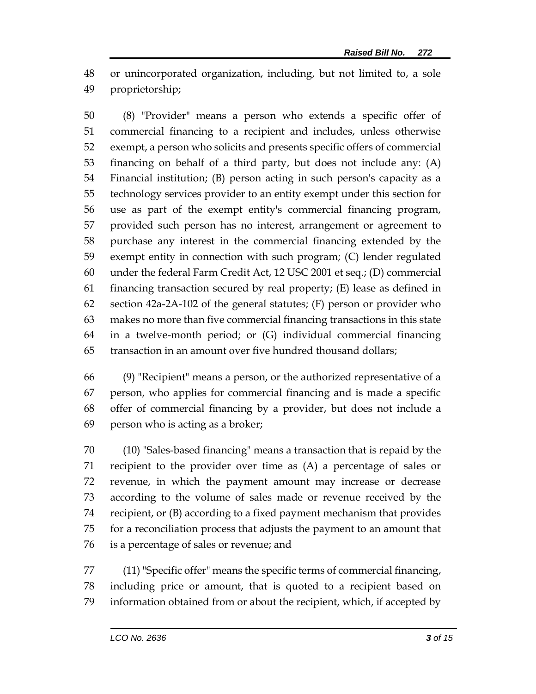or unincorporated organization, including, but not limited to, a sole proprietorship;

 (8) "Provider" means a person who extends a specific offer of commercial financing to a recipient and includes, unless otherwise exempt, a person who solicits and presents specific offers of commercial financing on behalf of a third party, but does not include any: (A) Financial institution; (B) person acting in such person's capacity as a technology services provider to an entity exempt under this section for use as part of the exempt entity's commercial financing program, provided such person has no interest, arrangement or agreement to purchase any interest in the commercial financing extended by the exempt entity in connection with such program; (C) lender regulated under the federal Farm Credit Act, 12 USC 2001 et seq.; (D) commercial 61 financing transaction secured by real property;  $(E)$  lease as defined in section 42a-2A-102 of the general statutes; (F) person or provider who makes no more than five commercial financing transactions in this state in a twelve-month period; or (G) individual commercial financing transaction in an amount over five hundred thousand dollars;

 (9) "Recipient" means a person, or the authorized representative of a person, who applies for commercial financing and is made a specific offer of commercial financing by a provider, but does not include a person who is acting as a broker;

 (10) "Sales-based financing" means a transaction that is repaid by the recipient to the provider over time as (A) a percentage of sales or revenue, in which the payment amount may increase or decrease according to the volume of sales made or revenue received by the recipient, or (B) according to a fixed payment mechanism that provides for a reconciliation process that adjusts the payment to an amount that is a percentage of sales or revenue; and

 (11) "Specific offer" means the specific terms of commercial financing, including price or amount, that is quoted to a recipient based on information obtained from or about the recipient, which, if accepted by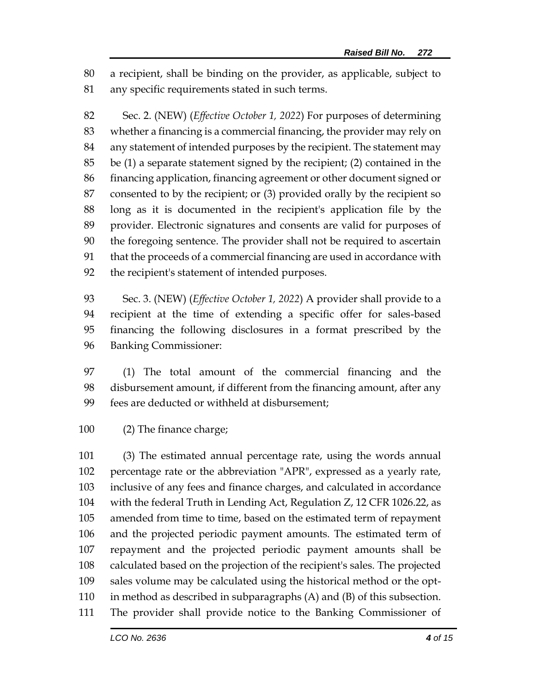a recipient, shall be binding on the provider, as applicable, subject to any specific requirements stated in such terms.

 Sec. 2. (NEW) (*Effective October 1, 2022*) For purposes of determining whether a financing is a commercial financing, the provider may rely on any statement of intended purposes by the recipient. The statement may be (1) a separate statement signed by the recipient; (2) contained in the financing application, financing agreement or other document signed or consented to by the recipient; or (3) provided orally by the recipient so long as it is documented in the recipient's application file by the provider. Electronic signatures and consents are valid for purposes of the foregoing sentence. The provider shall not be required to ascertain that the proceeds of a commercial financing are used in accordance with the recipient's statement of intended purposes.

 Sec. 3. (NEW) (*Effective October 1, 2022*) A provider shall provide to a recipient at the time of extending a specific offer for sales-based financing the following disclosures in a format prescribed by the Banking Commissioner:

 (1) The total amount of the commercial financing and the disbursement amount, if different from the financing amount, after any fees are deducted or withheld at disbursement;

(2) The finance charge;

 (3) The estimated annual percentage rate, using the words annual percentage rate or the abbreviation "APR", expressed as a yearly rate, inclusive of any fees and finance charges, and calculated in accordance with the federal Truth in Lending Act, Regulation Z, 12 CFR 1026.22, as amended from time to time, based on the estimated term of repayment and the projected periodic payment amounts. The estimated term of repayment and the projected periodic payment amounts shall be calculated based on the projection of the recipient's sales. The projected sales volume may be calculated using the historical method or the opt- in method as described in subparagraphs (A) and (B) of this subsection. The provider shall provide notice to the Banking Commissioner of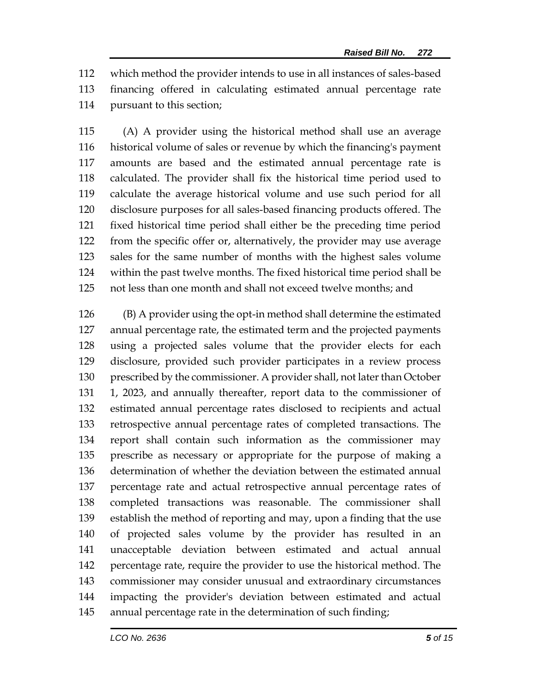which method the provider intends to use in all instances of sales-based financing offered in calculating estimated annual percentage rate pursuant to this section;

 (A) A provider using the historical method shall use an average historical volume of sales or revenue by which the financing's payment amounts are based and the estimated annual percentage rate is calculated. The provider shall fix the historical time period used to calculate the average historical volume and use such period for all disclosure purposes for all sales-based financing products offered. The fixed historical time period shall either be the preceding time period from the specific offer or, alternatively, the provider may use average sales for the same number of months with the highest sales volume within the past twelve months. The fixed historical time period shall be not less than one month and shall not exceed twelve months; and

 (B) A provider using the opt-in method shall determine the estimated annual percentage rate, the estimated term and the projected payments using a projected sales volume that the provider elects for each disclosure, provided such provider participates in a review process prescribed by the commissioner. A provider shall, not later than October 1, 2023, and annually thereafter, report data to the commissioner of estimated annual percentage rates disclosed to recipients and actual retrospective annual percentage rates of completed transactions. The report shall contain such information as the commissioner may prescribe as necessary or appropriate for the purpose of making a determination of whether the deviation between the estimated annual percentage rate and actual retrospective annual percentage rates of completed transactions was reasonable. The commissioner shall establish the method of reporting and may, upon a finding that the use of projected sales volume by the provider has resulted in an unacceptable deviation between estimated and actual annual percentage rate, require the provider to use the historical method. The commissioner may consider unusual and extraordinary circumstances impacting the provider's deviation between estimated and actual annual percentage rate in the determination of such finding;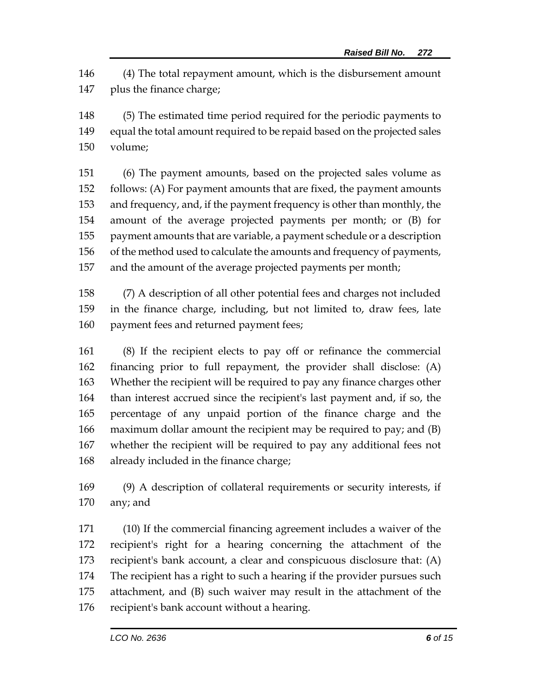(4) The total repayment amount, which is the disbursement amount plus the finance charge;

 (5) The estimated time period required for the periodic payments to equal the total amount required to be repaid based on the projected sales volume;

 (6) The payment amounts, based on the projected sales volume as follows: (A) For payment amounts that are fixed, the payment amounts and frequency, and, if the payment frequency is other than monthly, the amount of the average projected payments per month; or (B) for payment amounts that are variable, a payment schedule or a description of the method used to calculate the amounts and frequency of payments, and the amount of the average projected payments per month;

 (7) A description of all other potential fees and charges not included in the finance charge, including, but not limited to, draw fees, late 160 payment fees and returned payment fees;

 (8) If the recipient elects to pay off or refinance the commercial financing prior to full repayment, the provider shall disclose: (A) Whether the recipient will be required to pay any finance charges other than interest accrued since the recipient's last payment and, if so, the percentage of any unpaid portion of the finance charge and the maximum dollar amount the recipient may be required to pay; and (B) whether the recipient will be required to pay any additional fees not already included in the finance charge;

 (9) A description of collateral requirements or security interests, if any; and

 (10) If the commercial financing agreement includes a waiver of the recipient's right for a hearing concerning the attachment of the recipient's bank account, a clear and conspicuous disclosure that: (A) The recipient has a right to such a hearing if the provider pursues such attachment, and (B) such waiver may result in the attachment of the recipient's bank account without a hearing.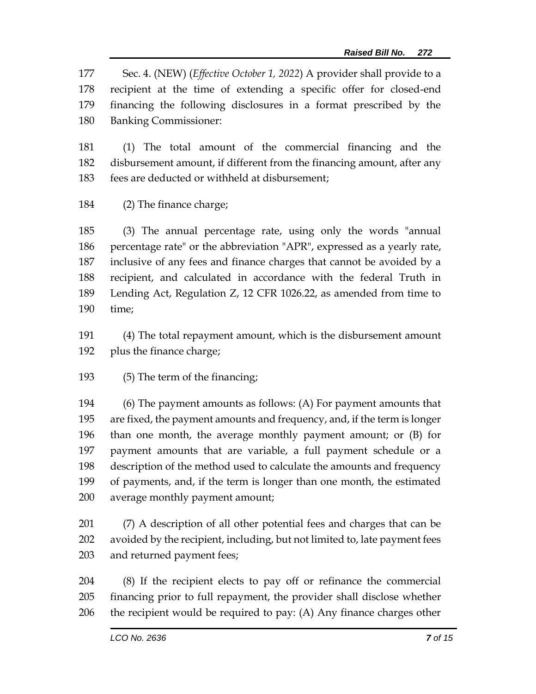Sec. 4. (NEW) (*Effective October 1, 2022*) A provider shall provide to a recipient at the time of extending a specific offer for closed-end financing the following disclosures in a format prescribed by the Banking Commissioner:

 (1) The total amount of the commercial financing and the disbursement amount, if different from the financing amount, after any fees are deducted or withheld at disbursement;

(2) The finance charge;

 (3) The annual percentage rate, using only the words "annual percentage rate" or the abbreviation "APR", expressed as a yearly rate, inclusive of any fees and finance charges that cannot be avoided by a recipient, and calculated in accordance with the federal Truth in Lending Act, Regulation Z, 12 CFR 1026.22, as amended from time to time;

 (4) The total repayment amount, which is the disbursement amount plus the finance charge;

(5) The term of the financing;

 (6) The payment amounts as follows: (A) For payment amounts that are fixed, the payment amounts and frequency, and, if the term is longer than one month, the average monthly payment amount; or (B) for payment amounts that are variable, a full payment schedule or a description of the method used to calculate the amounts and frequency of payments, and, if the term is longer than one month, the estimated average monthly payment amount;

 (7) A description of all other potential fees and charges that can be avoided by the recipient, including, but not limited to, late payment fees and returned payment fees;

 (8) If the recipient elects to pay off or refinance the commercial financing prior to full repayment, the provider shall disclose whether the recipient would be required to pay: (A) Any finance charges other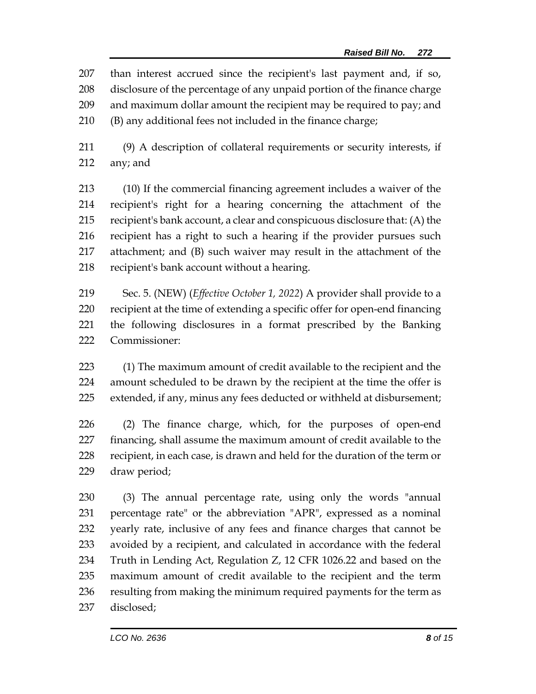than interest accrued since the recipient's last payment and, if so, disclosure of the percentage of any unpaid portion of the finance charge and maximum dollar amount the recipient may be required to pay; and (B) any additional fees not included in the finance charge;

 (9) A description of collateral requirements or security interests, if any; and

 (10) If the commercial financing agreement includes a waiver of the recipient's right for a hearing concerning the attachment of the recipient's bank account, a clear and conspicuous disclosure that: (A) the recipient has a right to such a hearing if the provider pursues such attachment; and (B) such waiver may result in the attachment of the recipient's bank account without a hearing.

 Sec. 5. (NEW) (*Effective October 1, 2022*) A provider shall provide to a recipient at the time of extending a specific offer for open-end financing the following disclosures in a format prescribed by the Banking Commissioner:

 (1) The maximum amount of credit available to the recipient and the amount scheduled to be drawn by the recipient at the time the offer is extended, if any, minus any fees deducted or withheld at disbursement;

 (2) The finance charge, which, for the purposes of open-end financing, shall assume the maximum amount of credit available to the recipient, in each case, is drawn and held for the duration of the term or draw period;

 (3) The annual percentage rate, using only the words "annual percentage rate" or the abbreviation "APR", expressed as a nominal yearly rate, inclusive of any fees and finance charges that cannot be avoided by a recipient, and calculated in accordance with the federal Truth in Lending Act, Regulation Z, 12 CFR 1026.22 and based on the maximum amount of credit available to the recipient and the term 236 resulting from making the minimum required payments for the term as disclosed;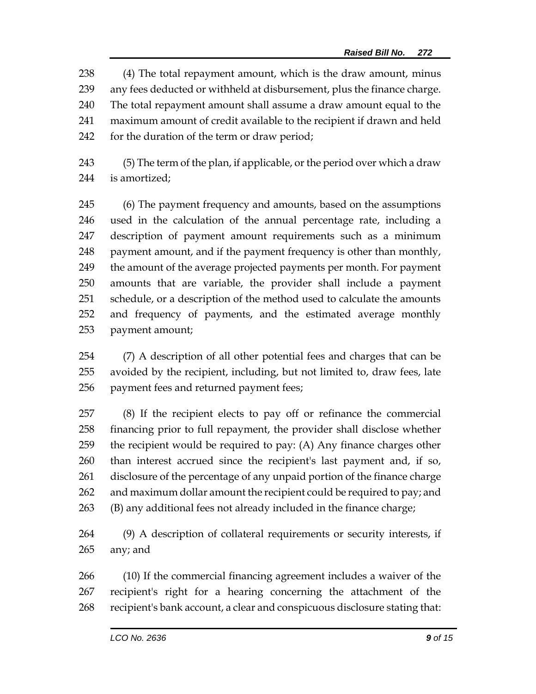(4) The total repayment amount, which is the draw amount, minus any fees deducted or withheld at disbursement, plus the finance charge. The total repayment amount shall assume a draw amount equal to the maximum amount of credit available to the recipient if drawn and held for the duration of the term or draw period;

 (5) The term of the plan, if applicable, or the period over which a draw is amortized;

 (6) The payment frequency and amounts, based on the assumptions used in the calculation of the annual percentage rate, including a description of payment amount requirements such as a minimum payment amount, and if the payment frequency is other than monthly, the amount of the average projected payments per month. For payment amounts that are variable, the provider shall include a payment schedule, or a description of the method used to calculate the amounts and frequency of payments, and the estimated average monthly payment amount;

 (7) A description of all other potential fees and charges that can be avoided by the recipient, including, but not limited to, draw fees, late payment fees and returned payment fees;

 (8) If the recipient elects to pay off or refinance the commercial financing prior to full repayment, the provider shall disclose whether the recipient would be required to pay: (A) Any finance charges other than interest accrued since the recipient's last payment and, if so, disclosure of the percentage of any unpaid portion of the finance charge 262 and maximum dollar amount the recipient could be required to pay; and (B) any additional fees not already included in the finance charge;

 (9) A description of collateral requirements or security interests, if any; and

 (10) If the commercial financing agreement includes a waiver of the recipient's right for a hearing concerning the attachment of the recipient's bank account, a clear and conspicuous disclosure stating that: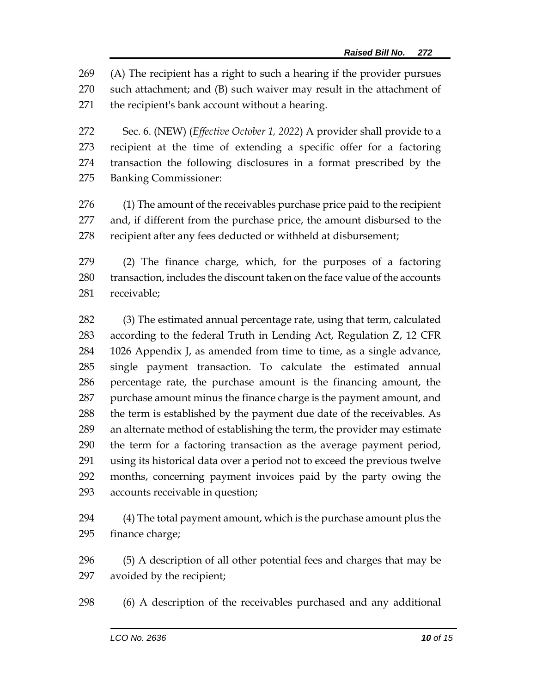(A) The recipient has a right to such a hearing if the provider pursues such attachment; and (B) such waiver may result in the attachment of the recipient's bank account without a hearing.

 Sec. 6. (NEW) (*Effective October 1, 2022*) A provider shall provide to a recipient at the time of extending a specific offer for a factoring transaction the following disclosures in a format prescribed by the Banking Commissioner:

 (1) The amount of the receivables purchase price paid to the recipient and, if different from the purchase price, the amount disbursed to the recipient after any fees deducted or withheld at disbursement;

 (2) The finance charge, which, for the purposes of a factoring transaction, includes the discount taken on the face value of the accounts receivable;

 (3) The estimated annual percentage rate, using that term, calculated according to the federal Truth in Lending Act, Regulation Z, 12 CFR 1026 Appendix J, as amended from time to time, as a single advance, single payment transaction. To calculate the estimated annual percentage rate, the purchase amount is the financing amount, the purchase amount minus the finance charge is the payment amount, and 288 the term is established by the payment due date of the receivables. As an alternate method of establishing the term, the provider may estimate the term for a factoring transaction as the average payment period, using its historical data over a period not to exceed the previous twelve months, concerning payment invoices paid by the party owing the accounts receivable in question;

 (4) The total payment amount, which is the purchase amount plus the finance charge;

 (5) A description of all other potential fees and charges that may be avoided by the recipient;

(6) A description of the receivables purchased and any additional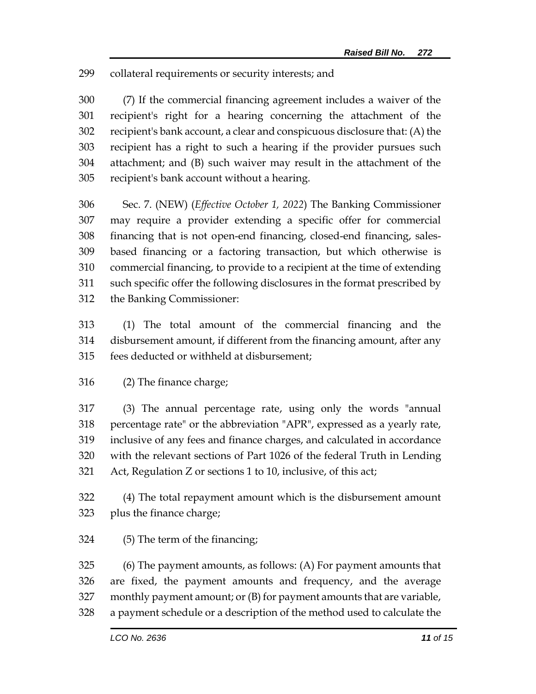collateral requirements or security interests; and

 (7) If the commercial financing agreement includes a waiver of the recipient's right for a hearing concerning the attachment of the recipient's bank account, a clear and conspicuous disclosure that: (A) the recipient has a right to such a hearing if the provider pursues such attachment; and (B) such waiver may result in the attachment of the recipient's bank account without a hearing.

 Sec. 7. (NEW) (*Effective October 1, 2022*) The Banking Commissioner may require a provider extending a specific offer for commercial financing that is not open-end financing, closed-end financing, sales- based financing or a factoring transaction, but which otherwise is commercial financing, to provide to a recipient at the time of extending such specific offer the following disclosures in the format prescribed by the Banking Commissioner:

 (1) The total amount of the commercial financing and the disbursement amount, if different from the financing amount, after any fees deducted or withheld at disbursement;

(2) The finance charge;

 (3) The annual percentage rate, using only the words "annual percentage rate" or the abbreviation "APR", expressed as a yearly rate, inclusive of any fees and finance charges, and calculated in accordance with the relevant sections of Part 1026 of the federal Truth in Lending Act, Regulation Z or sections 1 to 10, inclusive, of this act;

 (4) The total repayment amount which is the disbursement amount plus the finance charge;

(5) The term of the financing;

 (6) The payment amounts, as follows: (A) For payment amounts that are fixed, the payment amounts and frequency, and the average monthly payment amount; or (B) for payment amounts that are variable, a payment schedule or a description of the method used to calculate the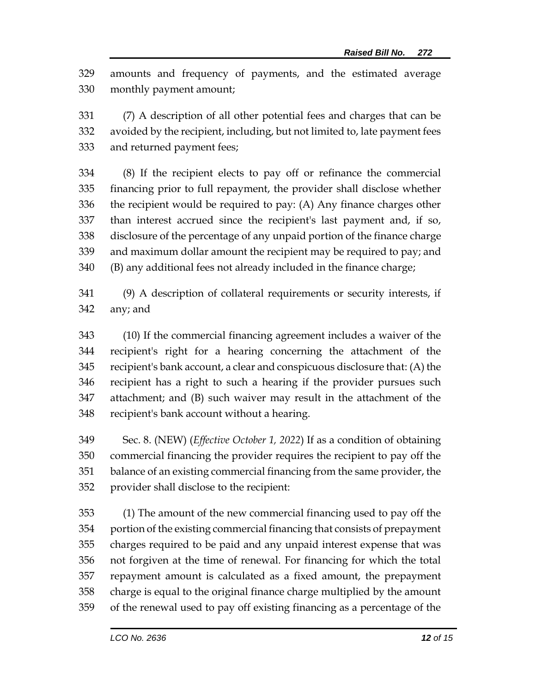amounts and frequency of payments, and the estimated average monthly payment amount;

 (7) A description of all other potential fees and charges that can be avoided by the recipient, including, but not limited to, late payment fees and returned payment fees;

 (8) If the recipient elects to pay off or refinance the commercial financing prior to full repayment, the provider shall disclose whether the recipient would be required to pay: (A) Any finance charges other than interest accrued since the recipient's last payment and, if so, disclosure of the percentage of any unpaid portion of the finance charge and maximum dollar amount the recipient may be required to pay; and (B) any additional fees not already included in the finance charge;

 (9) A description of collateral requirements or security interests, if any; and

 (10) If the commercial financing agreement includes a waiver of the recipient's right for a hearing concerning the attachment of the recipient's bank account, a clear and conspicuous disclosure that: (A) the recipient has a right to such a hearing if the provider pursues such attachment; and (B) such waiver may result in the attachment of the recipient's bank account without a hearing.

 Sec. 8. (NEW) (*Effective October 1, 2022*) If as a condition of obtaining commercial financing the provider requires the recipient to pay off the balance of an existing commercial financing from the same provider, the provider shall disclose to the recipient:

 (1) The amount of the new commercial financing used to pay off the portion of the existing commercial financing that consists of prepayment charges required to be paid and any unpaid interest expense that was not forgiven at the time of renewal. For financing for which the total repayment amount is calculated as a fixed amount, the prepayment charge is equal to the original finance charge multiplied by the amount of the renewal used to pay off existing financing as a percentage of the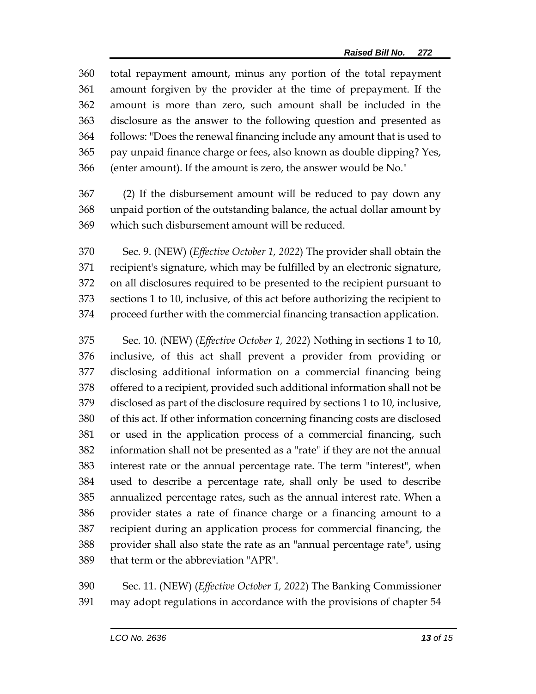total repayment amount, minus any portion of the total repayment amount forgiven by the provider at the time of prepayment. If the amount is more than zero, such amount shall be included in the disclosure as the answer to the following question and presented as follows: "Does the renewal financing include any amount that is used to pay unpaid finance charge or fees, also known as double dipping? Yes, (enter amount). If the amount is zero, the answer would be No."

 (2) If the disbursement amount will be reduced to pay down any unpaid portion of the outstanding balance, the actual dollar amount by which such disbursement amount will be reduced.

 Sec. 9. (NEW) (*Effective October 1, 2022*) The provider shall obtain the recipient's signature, which may be fulfilled by an electronic signature, on all disclosures required to be presented to the recipient pursuant to sections 1 to 10, inclusive, of this act before authorizing the recipient to proceed further with the commercial financing transaction application.

 Sec. 10. (NEW) (*Effective October 1, 2022*) Nothing in sections 1 to 10, inclusive, of this act shall prevent a provider from providing or disclosing additional information on a commercial financing being offered to a recipient, provided such additional information shall not be disclosed as part of the disclosure required by sections 1 to 10, inclusive, of this act. If other information concerning financing costs are disclosed or used in the application process of a commercial financing, such information shall not be presented as a "rate" if they are not the annual interest rate or the annual percentage rate. The term "interest", when used to describe a percentage rate, shall only be used to describe annualized percentage rates, such as the annual interest rate. When a provider states a rate of finance charge or a financing amount to a recipient during an application process for commercial financing, the provider shall also state the rate as an "annual percentage rate", using that term or the abbreviation "APR".

 Sec. 11. (NEW) (*Effective October 1, 2022*) The Banking Commissioner may adopt regulations in accordance with the provisions of chapter 54